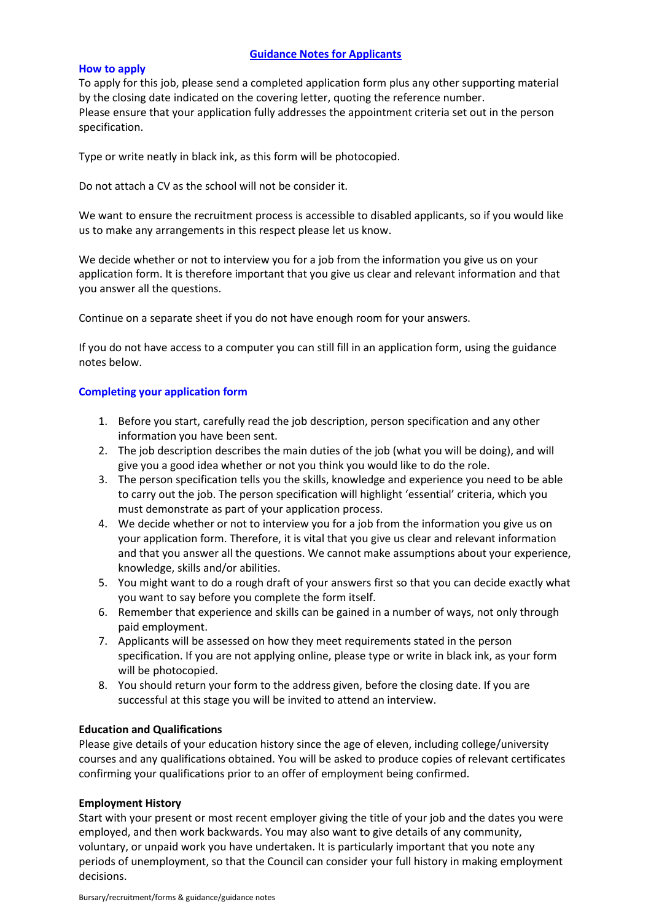# **Guidance Notes for Applicants**

# **How to apply**

To apply for this job, please send a completed application form plus any other supporting material by the closing date indicated on the covering letter, quoting the reference number. Please ensure that your application fully addresses the appointment criteria set out in the person specification.

Type or write neatly in black ink, as this form will be photocopied.

Do not attach a CV as the school will not be consider it.

We want to ensure the recruitment process is accessible to disabled applicants, so if you would like us to make any arrangements in this respect please let us know.

We decide whether or not to interview you for a job from the information you give us on your application form. It is therefore important that you give us clear and relevant information and that you answer all the questions.

Continue on a separate sheet if you do not have enough room for your answers.

If you do not have access to a computer you can still fill in an application form, using the guidance notes below.

# **Completing your application form**

- 1. Before you start, carefully read the job description, person specification and any other information you have been sent.
- 2. The job description describes the main duties of the job (what you will be doing), and will give you a good idea whether or not you think you would like to do the role.
- 3. The person specification tells you the skills, knowledge and experience you need to be able to carry out the job. The person specification will highlight 'essential' criteria, which you must demonstrate as part of your application process.
- 4. We decide whether or not to interview you for a job from the information you give us on your application form. Therefore, it is vital that you give us clear and relevant information and that you answer all the questions. We cannot make assumptions about your experience, knowledge, skills and/or abilities.
- 5. You might want to do a rough draft of your answers first so that you can decide exactly what you want to say before you complete the form itself.
- 6. Remember that experience and skills can be gained in a number of ways, not only through paid employment.
- 7. Applicants will be assessed on how they meet requirements stated in the person specification. If you are not applying online, please type or write in black ink, as your form will be photocopied.
- 8. You should return your form to the address given, before the closing date. If you are successful at this stage you will be invited to attend an interview.

# **Education and Qualifications**

Please give details of your education history since the age of eleven, including college/university courses and any qualifications obtained. You will be asked to produce copies of relevant certificates confirming your qualifications prior to an offer of employment being confirmed.

# **Employment History**

Start with your present or most recent employer giving the title of your job and the dates you were employed, and then work backwards. You may also want to give details of any community, voluntary, or unpaid work you have undertaken. It is particularly important that you note any periods of unemployment, so that the Council can consider your full history in making employment decisions.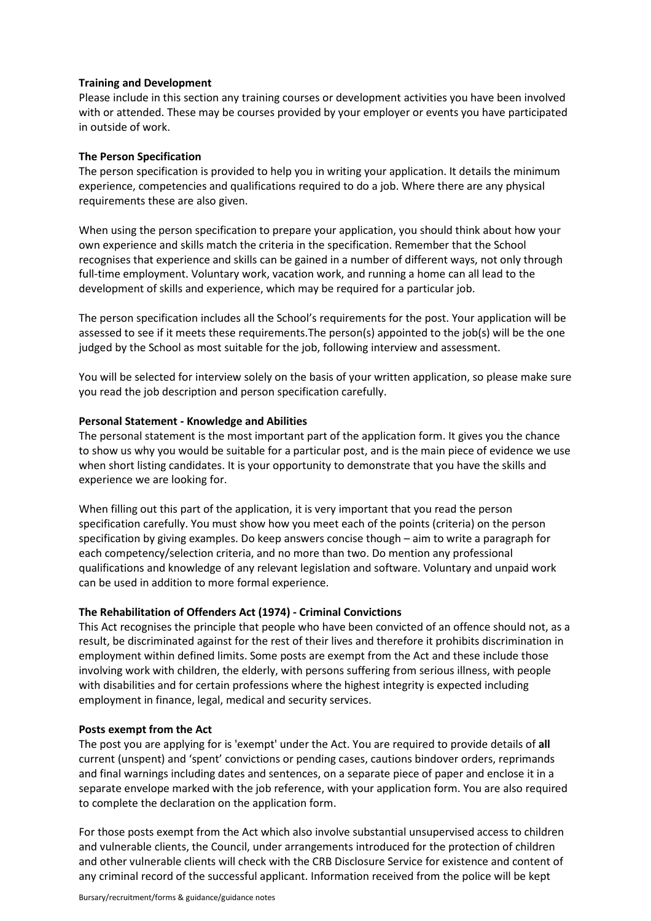## **Training and Development**

Please include in this section any training courses or development activities you have been involved with or attended. These may be courses provided by your employer or events you have participated in outside of work.

### **The Person Specification**

The person specification is provided to help you in writing your application. It details the minimum experience, competencies and qualifications required to do a job. Where there are any physical requirements these are also given.

When using the person specification to prepare your application, you should think about how your own experience and skills match the criteria in the specification. Remember that the School recognises that experience and skills can be gained in a number of different ways, not only through full-time employment. Voluntary work, vacation work, and running a home can all lead to the development of skills and experience, which may be required for a particular job.

The person specification includes all the School's requirements for the post. Your application will be assessed to see if it meets these requirements.The person(s) appointed to the job(s) will be the one judged by the School as most suitable for the job, following interview and assessment.

You will be selected for interview solely on the basis of your written application, so please make sure you read the job description and person specification carefully.

### **Personal Statement - Knowledge and Abilities**

The personal statement is the most important part of the application form. It gives you the chance to show us why you would be suitable for a particular post, and is the main piece of evidence we use when short listing candidates. It is your opportunity to demonstrate that you have the skills and experience we are looking for.

When filling out this part of the application, it is very important that you read the person specification carefully. You must show how you meet each of the points (criteria) on the person specification by giving examples. Do keep answers concise though – aim to write a paragraph for each competency/selection criteria, and no more than two. Do mention any professional qualifications and knowledge of any relevant legislation and software. Voluntary and unpaid work can be used in addition to more formal experience.

#### **The Rehabilitation of Offenders Act (1974) - Criminal Convictions**

This Act recognises the principle that people who have been convicted of an offence should not, as a result, be discriminated against for the rest of their lives and therefore it prohibits discrimination in employment within defined limits. Some posts are exempt from the Act and these include those involving work with children, the elderly, with persons suffering from serious illness, with people with disabilities and for certain professions where the highest integrity is expected including employment in finance, legal, medical and security services.

# **Posts exempt from the Act**

The post you are applying for is 'exempt' under the Act. You are required to provide details of **all**  current (unspent) and 'spent' convictions or pending cases, cautions bindover orders, reprimands and final warnings including dates and sentences, on a separate piece of paper and enclose it in a separate envelope marked with the job reference, with your application form. You are also required to complete the declaration on the application form.

For those posts exempt from the Act which also involve substantial unsupervised access to children and vulnerable clients, the Council, under arrangements introduced for the protection of children and other vulnerable clients will check with the CRB Disclosure Service for existence and content of any criminal record of the successful applicant. Information received from the police will be kept